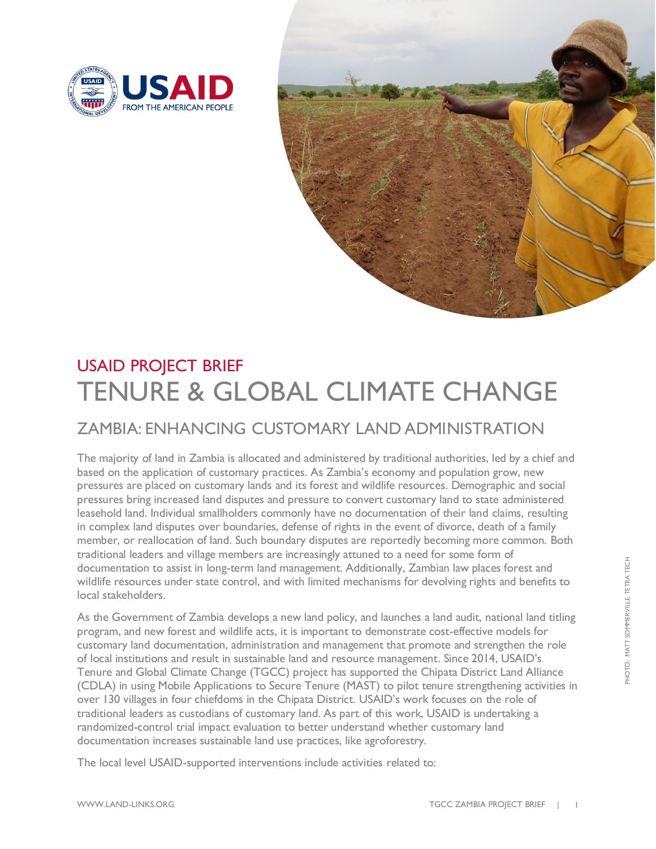



## USAID PROJECT BRIEF TENURE & GLOBAL CLIMATE CHANGE

## ZAMBIA: ENHANCING CUSTOMARY LAND ADMINISTRATION

The majority of land in Zambia is allocated and administered by traditional authorities, led by a chief and based on the application of customary practices. As Zambia's economy and population grow, new pressures are placed on customary lands and its forest and wildlife resources. Demographic and social pressures bring increased land disputes and pressure to convert customary land to state administered leasehold land. Individual smallholders commonly have no documentation of their land claims, resulting in complex land disputes over boundaries, defense of rights in the event of divorce, death of a family member, or reallocation of land. Such boundary disputes are reportedly becoming more common. Both traditional leaders and village members are increasingly attuned to a need for some form of documentation to assist in long-term land management. Additionally, Zambian law places forest and wildlife resources under state control, and with limited mechanisms for devolving rights and benefits to local stakeholders.

As the Government of Zambia develops a new land policy, and launches a land audit, national land titling program, and new forest and wildlife acts, it is important to demonstrate cost-effective models for customary land documentation, administration and management that promote and strengthen the role of local institutions and result in sustainable land and resource management. Since 2014, USAID's Tenure and Global Climate Change (TGCC) project has supported the Chipata District Land Alliance (CDLA) in using Mobile Applications to Secure Tenure (MAST) to pilot tenure strengthening activities in over 130 villages in four chiefdoms in the Chipata District. USAID's work focuses on the role of traditional leaders as custodians of customary land. As part of this work, USAID is undertaking a randomized-control trial impact evaluation to better understand whether customary land documentation increases sustainable land use practices, like agroforestry.

The local level USAID-supported interventions include activities related to: